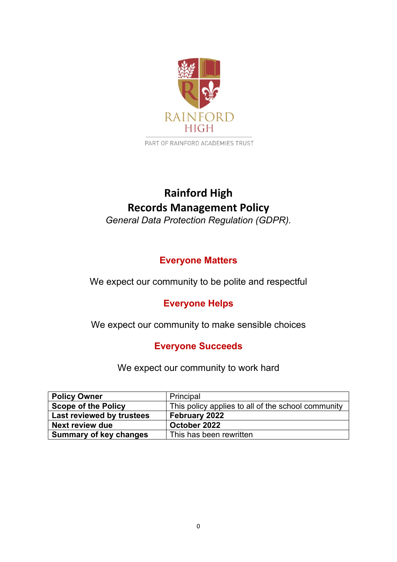

PART OF RAINFORD ACADEMIES TRUST

# **Rainford High Records Management Policy**

*General Data Protection Regulation (GDPR).*

## **Everyone Matters**

We expect our community to be polite and respectful

## **Everyone Helps**

We expect our community to make sensible choices

## **Everyone Succeeds**

We expect our community to work hard

| <b>Policy Owner</b>           | Principal                                          |
|-------------------------------|----------------------------------------------------|
| <b>Scope of the Policy</b>    | This policy applies to all of the school community |
| Last reviewed by trustees     | <b>February 2022</b>                               |
| Next review due               | October 2022                                       |
| <b>Summary of key changes</b> | This has been rewritten                            |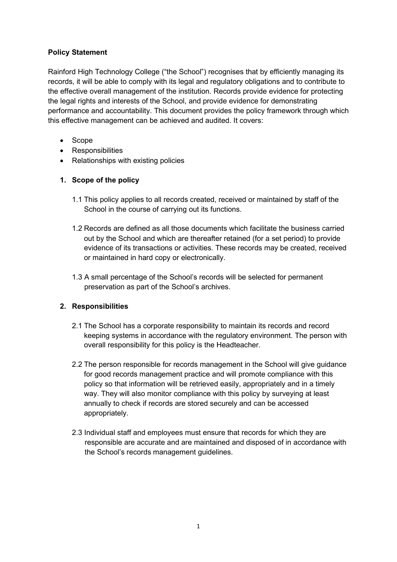#### **Policy Statement**

Rainford High Technology College ("the School") recognises that by efficiently managing its records, it will be able to comply with its legal and regulatory obligations and to contribute to the effective overall management of the institution. Records provide evidence for protecting the legal rights and interests of the School, and provide evidence for demonstrating performance and accountability. This document provides the policy framework through which this effective management can be achieved and audited. It covers:

- Scope
- Responsibilities
- Relationships with existing policies

#### **1. Scope of the policy**

- 1.1 This policy applies to all records created, received or maintained by staff of the School in the course of carrying out its functions.
- 1.2 Records are defined as all those documents which facilitate the business carried out by the School and which are thereafter retained (for a set period) to provide evidence of its transactions or activities. These records may be created, received or maintained in hard copy or electronically.
- 1.3 A small percentage of the School's records will be selected for permanent preservation as part of the School's archives.

#### **2. Responsibilities**

- 2.1 The School has a corporate responsibility to maintain its records and record keeping systems in accordance with the regulatory environment. The person with overall responsibility for this policy is the Headteacher.
- 2.2 The person responsible for records management in the School will give guidance for good records management practice and will promote compliance with this policy so that information will be retrieved easily, appropriately and in a timely way. They will also monitor compliance with this policy by surveying at least annually to check if records are stored securely and can be accessed appropriately.
- 2.3 Individual staff and employees must ensure that records for which they are responsible are accurate and are maintained and disposed of in accordance with the School's records management guidelines.